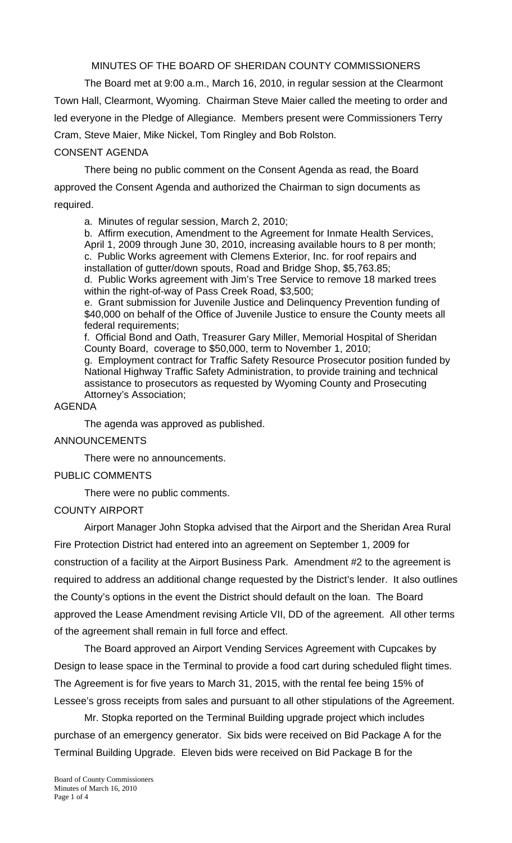MINUTES OF THE BOARD OF SHERIDAN COUNTY COMMISSIONERS

 The Board met at 9:00 a.m., March 16, 2010, in regular session at the Clearmont Town Hall, Clearmont, Wyoming. Chairman Steve Maier called the meeting to order and led everyone in the Pledge of Allegiance. Members present were Commissioners Terry Cram, Steve Maier, Mike Nickel, Tom Ringley and Bob Rolston.

#### CONSENT AGENDA

There being no public comment on the Consent Agenda as read, the Board approved the Consent Agenda and authorized the Chairman to sign documents as required.

a. Minutes of regular session, March 2, 2010;

b. Affirm execution, Amendment to the Agreement for Inmate Health Services, April 1, 2009 through June 30, 2010, increasing available hours to 8 per month; c. Public Works agreement with Clemens Exterior, Inc. for roof repairs and installation of gutter/down spouts, Road and Bridge Shop, \$5,763.85;

d. Public Works agreement with Jim's Tree Service to remove 18 marked trees within the right-of-way of Pass Creek Road, \$3,500;

e. Grant submission for Juvenile Justice and Delinquency Prevention funding of \$40,000 on behalf of the Office of Juvenile Justice to ensure the County meets all federal requirements;

f. Official Bond and Oath, Treasurer Gary Miller, Memorial Hospital of Sheridan County Board, coverage to \$50,000, term to November 1, 2010;

g. Employment contract for Traffic Safety Resource Prosecutor position funded by National Highway Traffic Safety Administration, to provide training and technical assistance to prosecutors as requested by Wyoming County and Prosecuting Attorney's Association;

### AGENDA

The agenda was approved as published.

#### ANNOUNCEMENTS

There were no announcements.

### PUBLIC COMMENTS

There were no public comments.

### COUNTY AIRPORT

Airport Manager John Stopka advised that the Airport and the Sheridan Area Rural Fire Protection District had entered into an agreement on September 1, 2009 for construction of a facility at the Airport Business Park. Amendment #2 to the agreement is required to address an additional change requested by the District's lender. It also outlines the County's options in the event the District should default on the loan. The Board approved the Lease Amendment revising Article VII, DD of the agreement. All other terms of the agreement shall remain in full force and effect.

The Board approved an Airport Vending Services Agreement with Cupcakes by Design to lease space in the Terminal to provide a food cart during scheduled flight times. The Agreement is for five years to March 31, 2015, with the rental fee being 15% of Lessee's gross receipts from sales and pursuant to all other stipulations of the Agreement.

Mr. Stopka reported on the Terminal Building upgrade project which includes purchase of an emergency generator. Six bids were received on Bid Package A for the Terminal Building Upgrade. Eleven bids were received on Bid Package B for the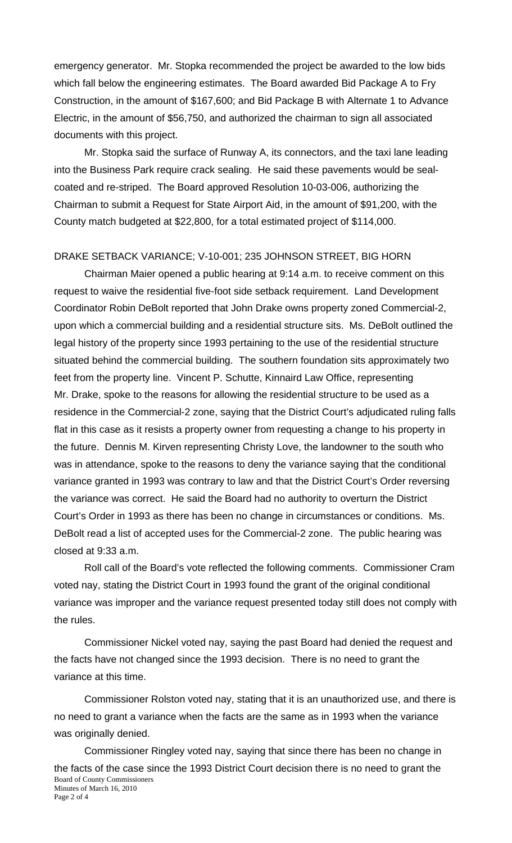emergency generator. Mr. Stopka recommended the project be awarded to the low bids which fall below the engineering estimates. The Board awarded Bid Package A to Fry Construction, in the amount of \$167,600; and Bid Package B with Alternate 1 to Advance Electric, in the amount of \$56,750, and authorized the chairman to sign all associated documents with this project.

Mr. Stopka said the surface of Runway A, its connectors, and the taxi lane leading into the Business Park require crack sealing. He said these pavements would be sealcoated and re-striped. The Board approved Resolution 10-03-006, authorizing the Chairman to submit a Request for State Airport Aid, in the amount of \$91,200, with the County match budgeted at \$22,800, for a total estimated project of \$114,000.

# DRAKE SETBACK VARIANCE; V-10-001; 235 JOHNSON STREET, BIG HORN

Chairman Maier opened a public hearing at 9:14 a.m. to receive comment on this request to waive the residential five-foot side setback requirement. Land Development Coordinator Robin DeBolt reported that John Drake owns property zoned Commercial-2, upon which a commercial building and a residential structure sits. Ms. DeBolt outlined the legal history of the property since 1993 pertaining to the use of the residential structure situated behind the commercial building. The southern foundation sits approximately two feet from the property line. Vincent P. Schutte, Kinnaird Law Office, representing Mr. Drake, spoke to the reasons for allowing the residential structure to be used as a residence in the Commercial-2 zone, saying that the District Court's adjudicated ruling falls flat in this case as it resists a property owner from requesting a change to his property in the future. Dennis M. Kirven representing Christy Love, the landowner to the south who was in attendance, spoke to the reasons to deny the variance saying that the conditional variance granted in 1993 was contrary to law and that the District Court's Order reversing the variance was correct. He said the Board had no authority to overturn the District Court's Order in 1993 as there has been no change in circumstances or conditions. Ms. DeBolt read a list of accepted uses for the Commercial-2 zone. The public hearing was closed at 9:33 a.m.

Roll call of the Board's vote reflected the following comments. Commissioner Cram voted nay, stating the District Court in 1993 found the grant of the original conditional variance was improper and the variance request presented today still does not comply with the rules.

Commissioner Nickel voted nay, saying the past Board had denied the request and the facts have not changed since the 1993 decision. There is no need to grant the variance at this time.

Commissioner Rolston voted nay, stating that it is an unauthorized use, and there is no need to grant a variance when the facts are the same as in 1993 when the variance was originally denied.

Board of County Commissioners Minutes of March 16, 2010 Page 2 of 4 Commissioner Ringley voted nay, saying that since there has been no change in the facts of the case since the 1993 District Court decision there is no need to grant the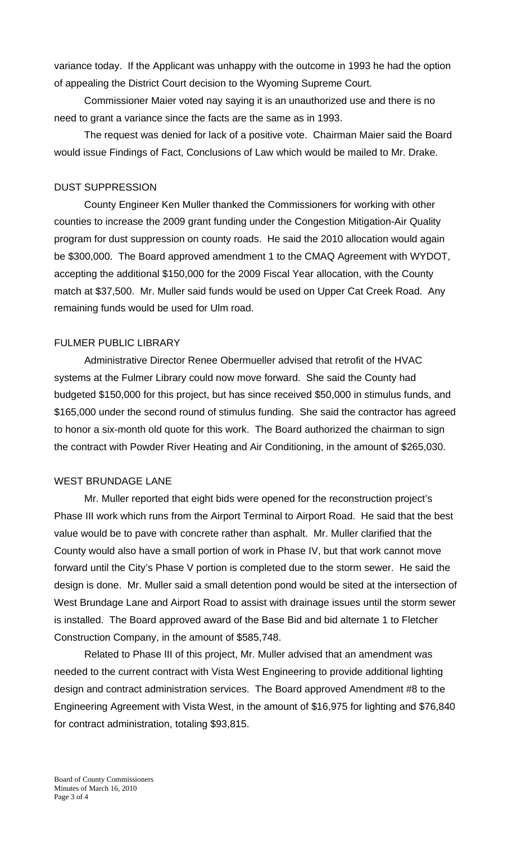variance today. If the Applicant was unhappy with the outcome in 1993 he had the option of appealing the District Court decision to the Wyoming Supreme Court.

Commissioner Maier voted nay saying it is an unauthorized use and there is no need to grant a variance since the facts are the same as in 1993.

The request was denied for lack of a positive vote. Chairman Maier said the Board would issue Findings of Fact, Conclusions of Law which would be mailed to Mr. Drake.

### DUST SUPPRESSION

County Engineer Ken Muller thanked the Commissioners for working with other counties to increase the 2009 grant funding under the Congestion Mitigation-Air Quality program for dust suppression on county roads. He said the 2010 allocation would again be \$300,000. The Board approved amendment 1 to the CMAQ Agreement with WYDOT, accepting the additional \$150,000 for the 2009 Fiscal Year allocation, with the County match at \$37,500. Mr. Muller said funds would be used on Upper Cat Creek Road. Any remaining funds would be used for Ulm road.

# FULMER PUBLIC LIBRARY

Administrative Director Renee Obermueller advised that retrofit of the HVAC systems at the Fulmer Library could now move forward. She said the County had budgeted \$150,000 for this project, but has since received \$50,000 in stimulus funds, and \$165,000 under the second round of stimulus funding. She said the contractor has agreed to honor a six-month old quote for this work. The Board authorized the chairman to sign the contract with Powder River Heating and Air Conditioning, in the amount of \$265,030.

### WEST BRUNDAGE LANE

 Mr. Muller reported that eight bids were opened for the reconstruction project's Phase III work which runs from the Airport Terminal to Airport Road. He said that the best value would be to pave with concrete rather than asphalt. Mr. Muller clarified that the County would also have a small portion of work in Phase IV, but that work cannot move forward until the City's Phase V portion is completed due to the storm sewer. He said the design is done. Mr. Muller said a small detention pond would be sited at the intersection of West Brundage Lane and Airport Road to assist with drainage issues until the storm sewer is installed. The Board approved award of the Base Bid and bid alternate 1 to Fletcher Construction Company, in the amount of \$585,748.

 Related to Phase III of this project, Mr. Muller advised that an amendment was needed to the current contract with Vista West Engineering to provide additional lighting design and contract administration services. The Board approved Amendment #8 to the Engineering Agreement with Vista West, in the amount of \$16,975 for lighting and \$76,840 for contract administration, totaling \$93,815.